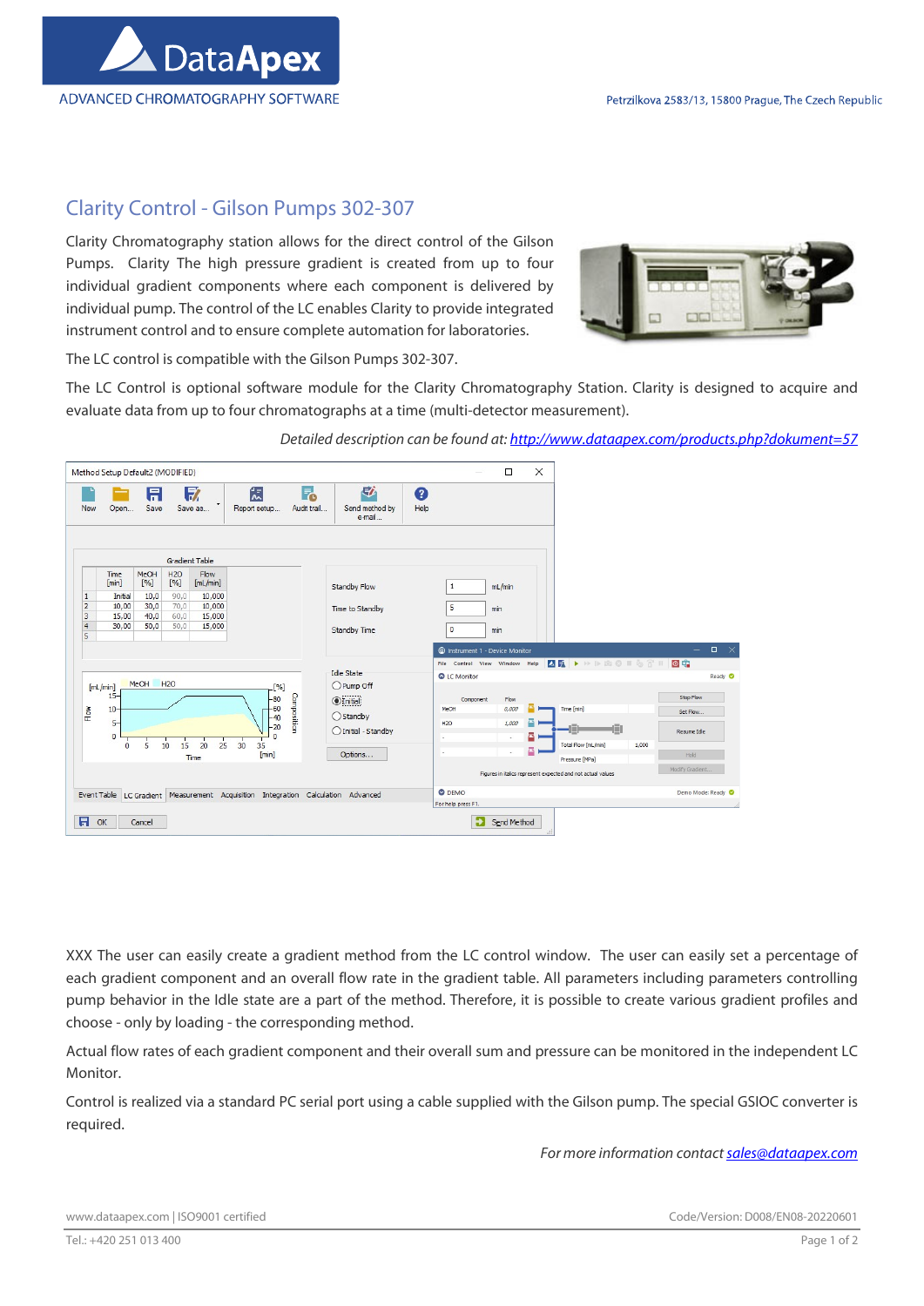

## Clarity Control - Gilson Pumps 302-307

Clarity Chromatography station allows for the direct control of the Gilson Pumps. Clarity The high pressure gradient is created from up to four individual gradient components where each component is delivered by individual pump. The control of the LC enables Clarity to provide integrated instrument control and to ensure complete automation for laboratories.



The LC control is compatible with the Gilson Pumps 302-307.

The LC Control is optional software module for the Clarity Chromatography Station. Clarity is designed to acquire and evaluate data from up to four chromatographs at a time (multi-detector measurement).

Detailed description can be found at: http://www.dataapex.com/products.php?dokument=57

| Method Setup Default2 (MODIFIED)                                                                                                                                                                                                                                                        |                                                                                                                                  | $\times$<br>□                                                                                                                                                                                                                                |
|-----------------------------------------------------------------------------------------------------------------------------------------------------------------------------------------------------------------------------------------------------------------------------------------|----------------------------------------------------------------------------------------------------------------------------------|----------------------------------------------------------------------------------------------------------------------------------------------------------------------------------------------------------------------------------------------|
| F.<br>17<br>伝<br>日<br>Audit trail<br>Save<br>Save as<br>Report setup<br><b>New</b><br>Open                                                                                                                                                                                              | 尉<br>Q<br>Send method by<br>Help<br>e-mail                                                                                       |                                                                                                                                                                                                                                              |
| <b>Gradient Table</b>                                                                                                                                                                                                                                                                   |                                                                                                                                  |                                                                                                                                                                                                                                              |
| Flow<br>MeOH<br>H2O<br>Time<br>[min]<br>$[% \frac{1}{2}$<br>[%]<br>[ml/min]<br>10,0<br>90,0<br>10,000<br>$\mathbf{1}$<br>Initial<br>$\overline{2}$<br>10,00<br>30,0<br>70,0<br>10,000<br>3<br>40,0<br>60,0<br>15,00<br>15,000<br>$\overline{4}$<br>30,00<br>50,0<br>50,0<br>15,000<br>5 | Standby Flow<br>Time to Standby<br>Standby Time                                                                                  | mL/min<br>$\mathbf{1}$<br>5<br>min<br>$\circ$<br>min                                                                                                                                                                                         |
|                                                                                                                                                                                                                                                                                         |                                                                                                                                  | $\Box$<br>$\mathsf{X}$<br>C Instrument 1 - Device Monitor<br><b>AR &gt; &gt; DEO I 6 3' II</b><br>回痛                                                                                                                                         |
| MeOH<br><b>H2O</b><br>[mL/min]<br>[%]<br>$15 -$<br>Composition<br>$-80$<br>$-60$<br>Flow<br>$10-$<br>$-40$<br>$5-$<br>$-20$<br>$\circ$<br>25<br>30<br>5<br>10<br>20<br>35<br>$\Omega$<br>15<br>[min]                                                                                    | <b>Idle State</b><br>O Pump Off<br>$Q$ Initial<br>MeOH<br>$O$ Standby<br><b>H20</b><br>◯ Initial - Standby<br>۰.<br>×<br>Options | File Control View Window Help<br>C LC Monitor<br>Ready O<br>Stop Flow<br>Flow<br>Component<br>0,000<br>Time [min]<br>Set Flow<br>1,000<br>п<br>d m<br>Resume Idle<br>۵<br>$\overline{\phantom{a}}$<br>Total Flow [mL/min]<br>1,000<br>۵<br>٠ |
| Time                                                                                                                                                                                                                                                                                    |                                                                                                                                  | Hold<br>Pressure [MPa]<br>Modify Gradient<br>Figures in italics represent expected and not actual values<br><b>O</b> DEMO                                                                                                                    |
| LC Gradient Measurement Acquisition Integration Calculation Advanced<br>Event Table<br>$\blacksquare$<br>OK<br>Cancel                                                                                                                                                                   |                                                                                                                                  | Demo Mode: Ready<br>For help press F1.<br>Send Method                                                                                                                                                                                        |

XXX The user can easily create a gradient method from the LC control window. The user can easily set a percentage of each gradient component and an overall flow rate in the gradient table. All parameters including parameters controlling pump behavior in the Idle state are a part of the method. Therefore, it is possible to create various gradient profiles and choose - only by loading - the corresponding method.

Actual flow rates of each gradient component and their overall sum and pressure can be monitored in the independent LC Monitor.

Control is realized via a standard PC serial port using a cable supplied with the Gilson pump. The special GSIOC converter is required.

For more information contact sales@dataapex.com